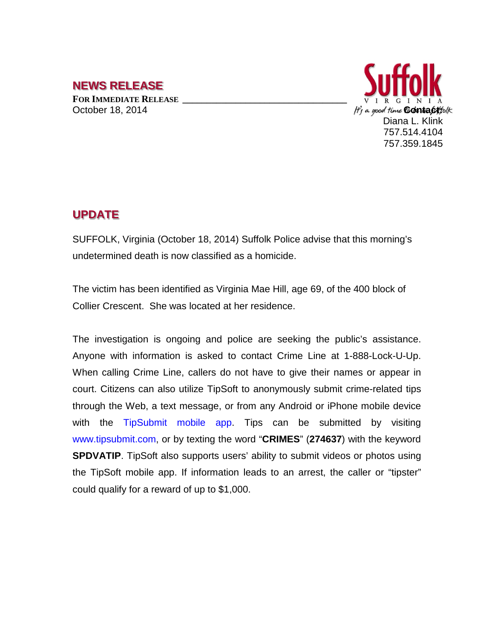## **NEWS RELEASE**

**FOR IMMEDIATE RELEASE \_\_\_\_\_\_\_\_\_\_\_\_\_\_\_\_\_\_\_\_\_\_\_\_\_\_\_\_\_\_\_\_\_\_**



## **UPDATE**

SUFFOLK, Virginia (October 18, 2014) Suffolk Police advise that this morning's undetermined death is now classified as a homicide.

The victim has been identified as Virginia Mae Hill, age 69, of the 400 block of Collier Crescent. She was located at her residence.

The investigation is ongoing and police are seeking the public's assistance. Anyone with information is asked to contact Crime Line at 1-888-Lock-U-Up. When calling Crime Line, callers do not have to give their names or appear in court. Citizens can also utilize TipSoft to anonymously submit crime-related tips through the Web, a text message, or from any Android or iPhone mobile device with the TipSubmit mobile app. Tips can be submitted by visiting www.tipsubmit.com, or by texting the word "**CRIMES**" (**274637**) with the keyword **SPDVATIP**. TipSoft also supports users' ability to submit videos or photos using the TipSoft mobile app. If information leads to an arrest, the caller or "tipster" could qualify for a reward of up to \$1,000.